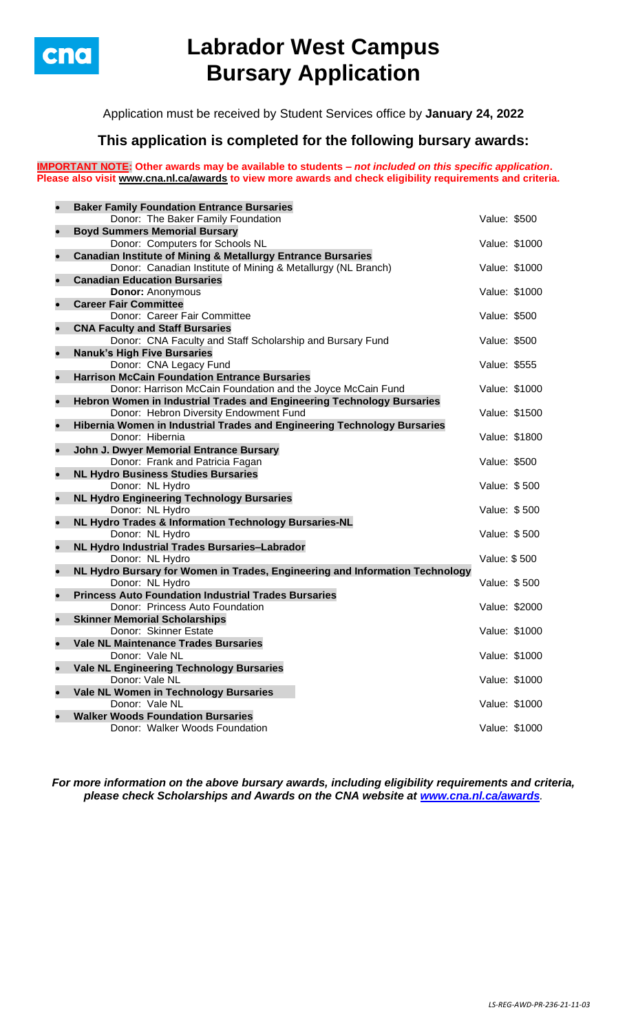

# **Labrador West Campus Bursary Application**

Application must be received by Student Services office by **January 24, 2022**

## **This application is completed for the following bursary awards:**

**IMPORTANT NOTE: Other awards may be available to students –** *not included on this specific application***. Please also visit [www.cna.nl.ca/awards](http://www.cna.nl.ca/awards) to view more awards and check eligibility requirements and criteria.**

| $\bullet$ | <b>Baker Family Foundation Entrance Bursaries</b>                                                                   |               |               |
|-----------|---------------------------------------------------------------------------------------------------------------------|---------------|---------------|
|           | Donor: The Baker Family Foundation                                                                                  | Value: \$500  |               |
| $\bullet$ | <b>Boyd Summers Memorial Bursary</b>                                                                                |               |               |
|           | Donor: Computers for Schools NL                                                                                     | Value: \$1000 |               |
| $\bullet$ | <b>Canadian Institute of Mining &amp; Metallurgy Entrance Bursaries</b>                                             |               |               |
|           | Donor: Canadian Institute of Mining & Metallurgy (NL Branch)                                                        | Value: \$1000 |               |
| $\bullet$ | <b>Canadian Education Bursaries</b>                                                                                 |               |               |
|           | <b>Donor: Anonymous</b>                                                                                             | Value: \$1000 |               |
| $\bullet$ | <b>Career Fair Committee</b>                                                                                        |               |               |
|           | Donor: Career Fair Committee                                                                                        | Value: \$500  |               |
| $\bullet$ | <b>CNA Faculty and Staff Bursaries</b>                                                                              |               |               |
|           | Donor: CNA Faculty and Staff Scholarship and Bursary Fund                                                           | Value: \$500  |               |
| $\bullet$ | <b>Nanuk's High Five Bursaries</b>                                                                                  |               |               |
| $\bullet$ | Donor: CNA Legacy Fund                                                                                              | Value: \$555  |               |
|           | <b>Harrison McCain Foundation Entrance Bursaries</b><br>Donor: Harrison McCain Foundation and the Joyce McCain Fund | Value: \$1000 |               |
| $\bullet$ | Hebron Women in Industrial Trades and Engineering Technology Bursaries                                              |               |               |
|           | Donor: Hebron Diversity Endowment Fund                                                                              | Value: \$1500 |               |
| $\bullet$ | Hibernia Women in Industrial Trades and Engineering Technology Bursaries                                            |               |               |
|           | Donor: Hibernia                                                                                                     | Value: \$1800 |               |
| $\bullet$ | John J. Dwyer Memorial Entrance Bursary                                                                             |               |               |
|           | Donor: Frank and Patricia Fagan                                                                                     | Value: \$500  |               |
| $\bullet$ | <b>NL Hydro Business Studies Bursaries</b>                                                                          |               |               |
|           | Donor: NL Hydro                                                                                                     | Value: \$500  |               |
| $\bullet$ | <b>NL Hydro Engineering Technology Bursaries</b>                                                                    |               |               |
|           | Donor: NL Hydro                                                                                                     | Value: \$500  |               |
| $\bullet$ | NL Hydro Trades & Information Technology Bursaries-NL                                                               |               |               |
|           | Donor: NL Hydro                                                                                                     | Value: \$500  |               |
| $\bullet$ | NL Hydro Industrial Trades Bursaries-Labrador                                                                       |               |               |
|           | Donor: NL Hydro                                                                                                     | Value: \$500  |               |
| $\bullet$ | NL Hydro Bursary for Women in Trades, Engineering and Information Technology                                        |               |               |
| $\bullet$ | Donor: NL Hydro<br><b>Princess Auto Foundation Industrial Trades Bursaries</b>                                      | Value: \$500  |               |
|           | Donor: Princess Auto Foundation                                                                                     | Value: \$2000 |               |
| $\bullet$ | <b>Skinner Memorial Scholarships</b>                                                                                |               |               |
|           | Donor: Skinner Estate                                                                                               | Value: \$1000 |               |
|           | <b>Vale NL Maintenance Trades Bursaries</b>                                                                         |               |               |
|           | Donor: Vale NL                                                                                                      | Value: \$1000 |               |
| $\bullet$ | <b>Vale NL Engineering Technology Bursaries</b>                                                                     |               |               |
|           | Donor: Vale NL                                                                                                      |               | Value: \$1000 |
| $\bullet$ | Vale NL Women in Technology Bursaries                                                                               |               |               |
|           | Donor: Vale NL                                                                                                      | Value: \$1000 |               |
|           | <b>Walker Woods Foundation Bursaries</b>                                                                            |               |               |
|           | Donor: Walker Woods Foundation                                                                                      | Value: \$1000 |               |

*For more information on the above bursary awards, including eligibility requirements and criteria, please check Scholarships and Awards on the CNA website at [www.cna.nl.ca/awards](http://www.cna.nl.ca/awards).*